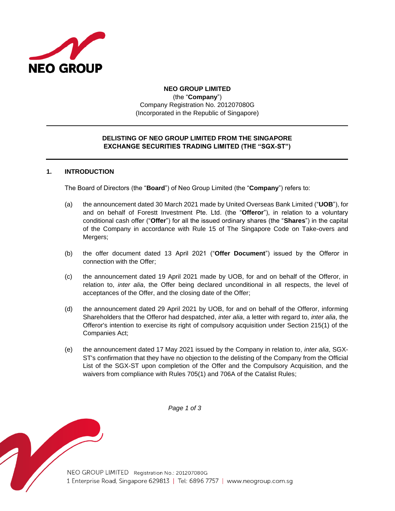

# **NEO GROUP LIMITED** (the "**Company**") Company Registration No. 201207080G (Incorporated in the Republic of Singapore)

## **DELISTING OF NEO GROUP LIMITED FROM THE SINGAPORE EXCHANGE SECURITIES TRADING LIMITED (THE "SGX-ST")**

### **1. INTRODUCTION**

The Board of Directors (the "**Board**") of Neo Group Limited (the "**Company**") refers to:

- (a) the announcement dated 30 March 2021 made by United Overseas Bank Limited ("**UOB**"), for and on behalf of Forestt Investment Pte. Ltd. (the "**Offeror**"), in relation to a voluntary conditional cash offer ("**Offer**") for all the issued ordinary shares (the "**Shares**") in the capital of the Company in accordance with Rule 15 of The Singapore Code on Take-overs and Mergers;
- (b) the offer document dated 13 April 2021 ("**Offer Document**") issued by the Offeror in connection with the Offer;
- (c) the announcement dated 19 April 2021 made by UOB, for and on behalf of the Offeror, in relation to, *inter alia*, the Offer being declared unconditional in all respects, the level of acceptances of the Offer, and the closing date of the Offer;
- (d) the announcement dated 29 April 2021 by UOB, for and on behalf of the Offeror, informing Shareholders that the Offeror had despatched, *inter alia*, a letter with regard to, *inter alia*, the Offeror's intention to exercise its right of compulsory acquisition under Section 215(1) of the Companies Act;
- (e) the announcement dated 17 May 2021 issued by the Company in relation to, *inter alia*, SGX-ST's confirmation that they have no objection to the delisting of the Company from the Official List of the SGX-ST upon completion of the Offer and the Compulsory Acquisition, and the waivers from compliance with Rules 705(1) and 706A of the Catalist Rules;

*Page 1 of 3*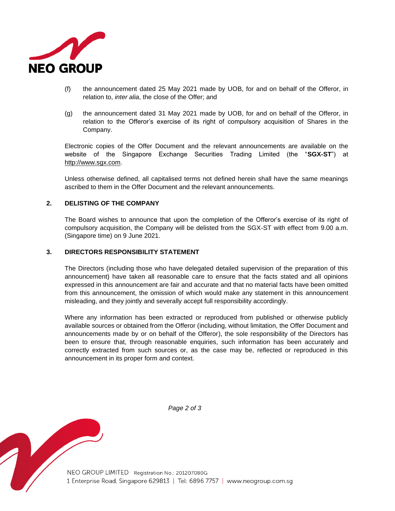

- (f) the announcement dated 25 May 2021 made by UOB, for and on behalf of the Offeror, in relation to, *inter alia*, the close of the Offer; and
- (g) the announcement dated 31 May 2021 made by UOB, for and on behalf of the Offeror, in relation to the Offeror's exercise of its right of compulsory acquisition of Shares in the Company.

Electronic copies of the Offer Document and the relevant announcements are available on the website of the Singapore Exchange Securities Trading Limited (the "**SGX-ST**") at http://www.sgx.com.

Unless otherwise defined, all capitalised terms not defined herein shall have the same meanings ascribed to them in the Offer Document and the relevant announcements.

#### **2. DELISTING OF THE COMPANY**

The Board wishes to announce that upon the completion of the Offeror's exercise of its right of compulsory acquisition, the Company will be delisted from the SGX-ST with effect from 9.00 a.m. (Singapore time) on 9 June 2021.

#### **3. DIRECTORS RESPONSIBILITY STATEMENT**

The Directors (including those who have delegated detailed supervision of the preparation of this announcement) have taken all reasonable care to ensure that the facts stated and all opinions expressed in this announcement are fair and accurate and that no material facts have been omitted from this announcement, the omission of which would make any statement in this announcement misleading, and they jointly and severally accept full responsibility accordingly.

Where any information has been extracted or reproduced from published or otherwise publicly available sources or obtained from the Offeror (including, without limitation, the Offer Document and announcements made by or on behalf of the Offeror), the sole responsibility of the Directors has been to ensure that, through reasonable enquiries, such information has been accurately and correctly extracted from such sources or, as the case may be, reflected or reproduced in this announcement in its proper form and context.



*Page 2 of 3*